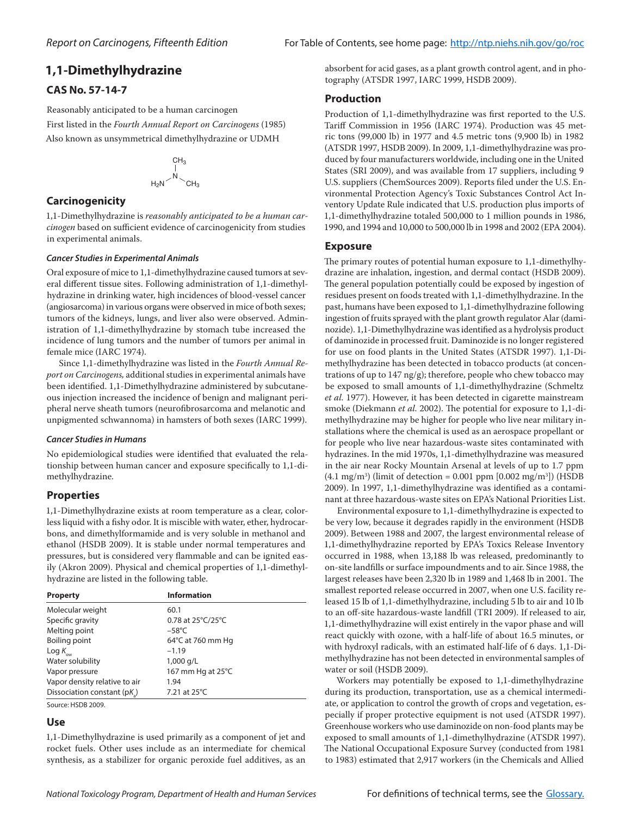# **1,1‑Dimethylhydrazine**

# **CAS No. 57-14-7**

Reasonably anticipated to be a human carcinogen First listed in the *Fourth Annual Report on Carcinogens* (1985) Also known as unsymmetrical dimethylhydrazine or UDMH

$$
\begin{array}{c}\nCH_3 \\
| \\
H_2N\n\end{array}
$$

## **Carcinogenicity**

1,1‑Dimethylhydrazine is *reasonably anticipated to be a human carcinogen* based on sufficient evidence of carcinogenicity from studies in experimental animals.

#### *Cancer Studies in Experimental Animals*

Oral exposure of mice to 1,1-dimethylhydrazine caused tumors at several different tissue sites. Following administration of 1,1-dimethylhydrazine in drinking water, high incidences of blood-vessel cancer (angiosarcoma) in various organs were observed in mice of both sexes; tumors of the kidneys, lungs, and liver also were observed. Administration of 1,1‑dimethylhydrazine by stomach tube increased the incidence of lung tumors and the number of tumors per animal in female mice (IARC 1974).

Since 1,1‑dimethylhydrazine was listed in the *Fourth Annual Report on Carcinogens,* additional studies in experimental animals have been identified. 1,1-Dimethylhydrazine administered by subcutaneous injection increased the incidence of benign and malignant peripheral nerve sheath tumors (neurofibrosarcoma and melanotic and unpigmented schwannoma) in hamsters of both sexes (IARC 1999).

#### *Cancer Studies in Humans*

No epidemiological studies were identified that evaluated the relationship between human cancer and exposure specifically to 1,1-dimethylhydrazine.

# **Properties**

1,1-Dimethylhydrazine exists at room temperature as a clear, colorless liquid with a fishy odor. It is miscible with water, ether, hydrocarbons, and dimethylformamide and is very soluble in methanol and ethanol (HSDB 2009). It is stable under normal temperatures and pressures, but is considered very flammable and can be ignited easily (Akron 2009). Physical and chemical properties of 1,1-dimethylhydrazine are listed in the following table.

| <b>Property</b>               | <b>Information</b> |
|-------------------------------|--------------------|
| Molecular weight              | 60.1               |
| Specific gravity              | 0.78 at 25°C/25°C  |
| Melting point                 | $-58^{\circ}$ C    |
| Boiling point                 | 64°C at 760 mm Hg  |
| Log $K_{\alpha\alpha}$        | $-1.19$            |
| Water solubility              | 1,000 g/L          |
| Vapor pressure                | 167 mm Hg at 25°C  |
| Vapor density relative to air | 1.94               |
| Dissociation constant (pK)    | 7.21 at 25°C       |

Source: HSDB 2009.

### **Use**

1,1‑Dimethylhydrazine is used primarily as a component of jet and rocket fuels. Other uses include as an intermediate for chemical synthesis, as a stabilizer for organic peroxide fuel additives, as an absorbent for acid gases, as a plant growth control agent, and in photography (ATSDR 1997, IARC 1999, HSDB 2009).

## **Production**

Production of 1,1-dimethylhydrazine was first reported to the U.S. Tariff Commission in 1956 (IARC 1974). Production was 45 metric tons (99,000 lb) in 1977 and 4.5 metric tons (9,900 lb) in 1982 (ATSDR 1997, HSDB 2009). In 2009, 1,1‑dimethylhydrazine was pro‑ duced by four manufacturers worldwide, including one in the United States (SRI 2009), and was available from 17 suppliers, including 9 U.S. suppliers (ChemSources 2009). Reports filed under the U.S. Environmental Protection Agency's Toxic Substances Control Act In‑ ventory Update Rule indicated that U.S. production plus imports of 1,1‑dimethylhydrazine totaled 500,000 to 1 million pounds in 1986, 1990, and 1994 and 10,000 to 500,000 lb in 1998 and 2002 (EPA 2004).

## **Exposure**

The primary routes of potential human exposure to 1,1-dimethylhydrazine are inhalation, ingestion, and dermal contact (HSDB 2009). The general population potentially could be exposed by ingestion of residues present on foods treated with 1,1‑dimethylhydrazine. In the past, humans have been exposed to 1,1‑dimethylhydrazine following ingestion of fruits sprayed with the plant growth regulator Alar (daminozide). 1,1‑Dimethylhydrazine was identified as a hydrolysis product of daminozide in processed fruit. Daminozide is no longer registered for use on food plants in the United States (ATSDR 1997). 1,1-Dimethylhydrazine has been detected in tobacco products (at concentrations of up to 147 ng/g); therefore, people who chew tobacco may be exposed to small amounts of 1,1‑dimethylhydrazine (Schmeltz *et al.* 1977). However, it has been detected in cigarette mainstream smoke (Diekmann et al. 2002). The potential for exposure to 1,1-dimethylhydrazine may be higher for people who live near military installations where the chemical is used as an aerospace propellant or for people who live near hazardous-waste sites contaminated with hydrazines. In the mid 1970s, 1,1‑dimethylhydrazine was measured in the air near Rocky Mountain Arsenal at levels of up to 1.7 ppm (4.1 mg/m3 ) (limit of detection = 0.001 ppm [0.002 mg/m3 ]) (HSDB 2009). In 1997, 1,1-dimethylhydrazine was identified as a contaminant at three hazardous-waste sites on EPA's National Priorities List.

Environmental exposure to 1,1‑dimethylhydrazine is expected to be very low, because it degrades rapidly in the environment (HSDB 2009). Between 1988 and 2007, the largest environmental release of 1,1‑dimethylhydrazine reported by EPA's Toxics Release Inventory occurred in 1988, when 13,188 lb was released, predominantly to on-site landfills or surface impoundments and to air. Since 1988, the largest releases have been 2,320 lb in 1989 and 1,468 lb in 2001. The smallest reported release occurred in 2007, when one U.S. facility released 15 lb of 1,1‑dimethylhydrazine, including 5 lb to air and 10 lb to an off-site hazardous-waste landfill (TRI 2009). If released to air, 1,1‑dimethylhydrazine will exist entirely in the vapor phase and will react quickly with ozone, with a half-life of about 16.5 minutes, or with hydroxyl radicals, with an estimated half-life of 6 days. 1,1-Dimethylhydrazine has not been detected in environmental samples of water or soil (HSDB 2009).

Workers may potentially be exposed to 1,1‑dimethylhydrazine during its production, transportation, use as a chemical intermediate, or application to control the growth of crops and vegetation, especially if proper protective equipment is not used (ATSDR 1997). Greenhouse workers who use daminozide on non-food plants may be exposed to small amounts of 1,1‑dimethylhydrazine (ATSDR 1997). The National Occupational Exposure Survey (conducted from 1981 to 1983) estimated that 2,917 workers (in the Chemicals and Allied